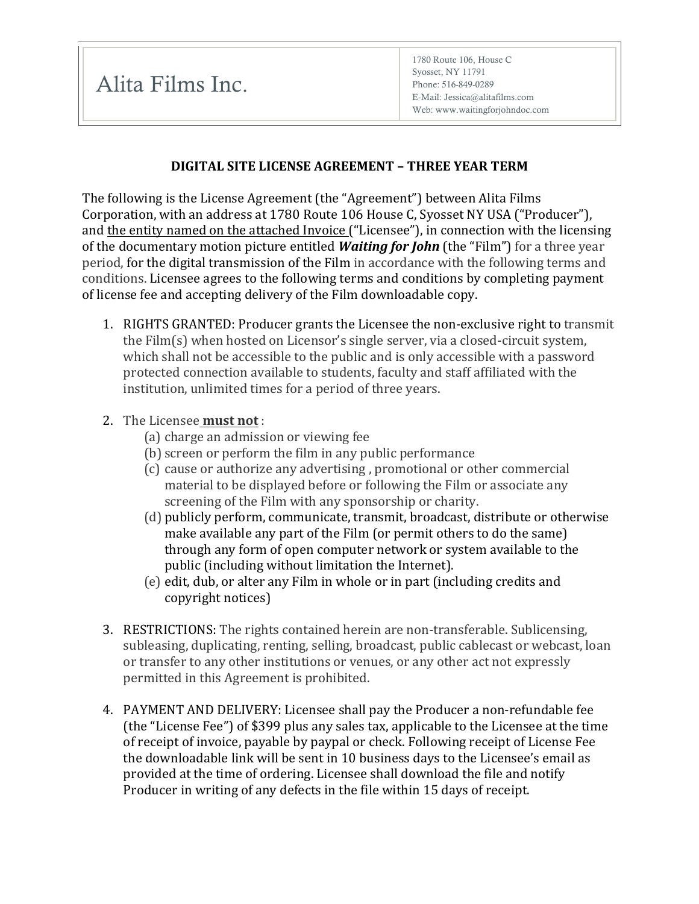Alita Films Inc.

## **DIGITAL SITE LICENSE AGREEMENT – THREE YEAR TERM**

The following is the License Agreement (the "Agreement") between Alita Films Corporation, with an address at 1780 Route 106 House C, Syosset NY USA ("Producer"), and the entity named on the attached Invoice ("Licensee"), in connection with the licensing of the documentary motion picture entitled **Waiting for John** (the "Film") for a three year period, for the digital transmission of the Film in accordance with the following terms and conditions. Licensee agrees to the following terms and conditions by completing payment of license fee and accepting delivery of the Film downloadable copy.

- 1. RIGHTS GRANTED: Producer grants the Licensee the non-exclusive right to transmit the  $Film(s)$  when hosted on Licensor's single server, via a closed-circuit system, which shall not be accessible to the public and is only accessible with a password protected connection available to students, faculty and staff affiliated with the institution, unlimited times for a period of three years.
- 2. The Licensee **must not**:
	- (a) charge an admission or viewing fee
	- (b) screen or perform the film in any public performance
	- (c) cause or authorize any advertising, promotional or other commercial material to be displayed before or following the Film or associate any screening of the Film with any sponsorship or charity.
	- (d) publicly perform, communicate, transmit, broadcast, distribute or otherwise make available any part of the Film (or permit others to do the same) through any form of open computer network or system available to the public (including without limitation the Internet).
	- (e) edit, dub, or alter any Film in whole or in part (including credits and copyright notices)
- 3. RESTRICTIONS: The rights contained herein are non-transferable. Sublicensing, subleasing, duplicating, renting, selling, broadcast, public cablecast or webcast, loan or transfer to any other institutions or venues, or any other act not expressly permitted in this Agreement is prohibited.
- 4. PAYMENT AND DELIVERY: Licensee shall pay the Producer a non-refundable fee (the "License Fee") of \$399 plus any sales tax, applicable to the Licensee at the time of receipt of invoice, payable by paypal or check. Following receipt of License Fee the downloadable link will be sent in 10 business days to the Licensee's email as provided at the time of ordering. Licensee shall download the file and notify Producer in writing of any defects in the file within 15 days of receipt.